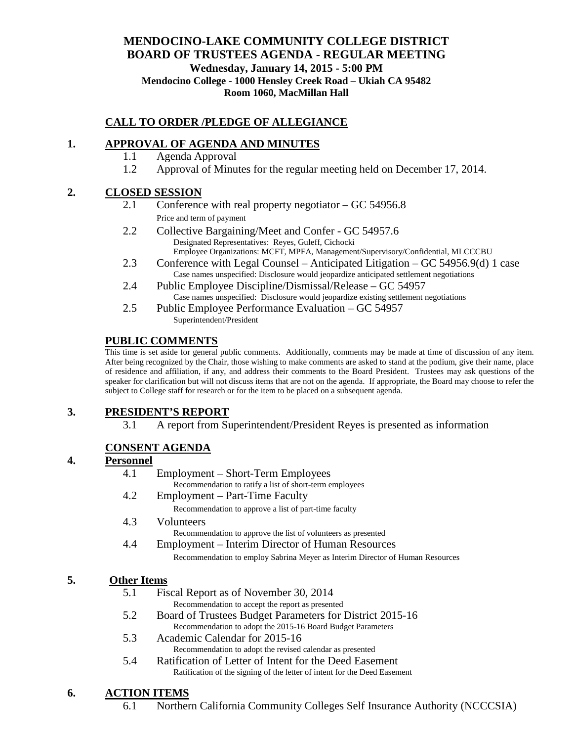### **MENDOCINO-LAKE COMMUNITY COLLEGE DISTRICT BOARD OF TRUSTEES AGENDA** - **REGULAR MEETING Wednesday, January 14, 2015 - 5:00 PM Mendocino College - 1000 Hensley Creek Road – Ukiah CA 95482 Room 1060, MacMillan Hall**

# **CALL TO ORDER /PLEDGE OF ALLEGIANCE**

### **1. APPROVAL OF AGENDA AND MINUTES**

- 1.1 Agenda Approval
- 1.2 Approval of Minutes for the regular meeting held on December 17, 2014.

#### **2. CLOSED SESSION**

- 2.1 Conference with real property negotiator GC 54956.8 Price and term of payment
- 2.2 Collective Bargaining/Meet and Confer GC 54957.6 Designated Representatives: Reyes, Guleff, Cichocki Employee Organizations: MCFT, MPFA, Management/Supervisory/Confidential, MLCCCBU
- 2.3 Conference with Legal Counsel Anticipated Litigation GC 54956.9(d) 1 case Case names unspecified: Disclosure would jeopardize anticipated settlement negotiations
- 2.4 Public Employee Discipline/Dismissal/Release GC 54957 Case names unspecified: Disclosure would jeopardize existing settlement negotiations
- 2.5 Public Employee Performance Evaluation GC 54957 Superintendent/President

### **PUBLIC COMMENTS**

This time is set aside for general public comments. Additionally, comments may be made at time of discussion of any item. After being recognized by the Chair, those wishing to make comments are asked to stand at the podium, give their name, place of residence and affiliation, if any, and address their comments to the Board President. Trustees may ask questions of the speaker for clarification but will not discuss items that are not on the agenda. If appropriate, the Board may choose to refer the subject to College staff for research or for the item to be placed on a subsequent agenda.

# **3. PRESIDENT'S REPORT**

3.1 A report from Superintendent/President Reyes is presented as information

# **CONSENT AGENDA**

### **4. Personnel**

- 4.1 Employment Short-Term Employees
- Recommendation to ratify a list of short-term employees 4.2 Employment – Part-Time Faculty
	- Recommendation to approve a list of part-time faculty
- 4.3 Volunteers

Recommendation to approve the list of volunteers as presented

4.4 Employment – Interim Director of Human Resources

Recommendation to employ Sabrina Meyer as Interim Director of Human Resources

### **5. Other Items**

- 5.1 Fiscal Report as of November 30, 2014
	- Recommendation to accept the report as presented
- 5.2 Board of Trustees Budget Parameters for District 2015-16 Recommendation to adopt the 2015-16 Board Budget Parameters
- 5.3 Academic Calendar for 2015-16 Recommendation to adopt the revised calendar as presented
- 5.4 Ratification of Letter of Intent for the Deed Easement Ratification of the signing of the letter of intent for the Deed Easement

### **6. ACTION ITEMS**

6.1 Northern California Community Colleges Self Insurance Authority (NCCCSIA)